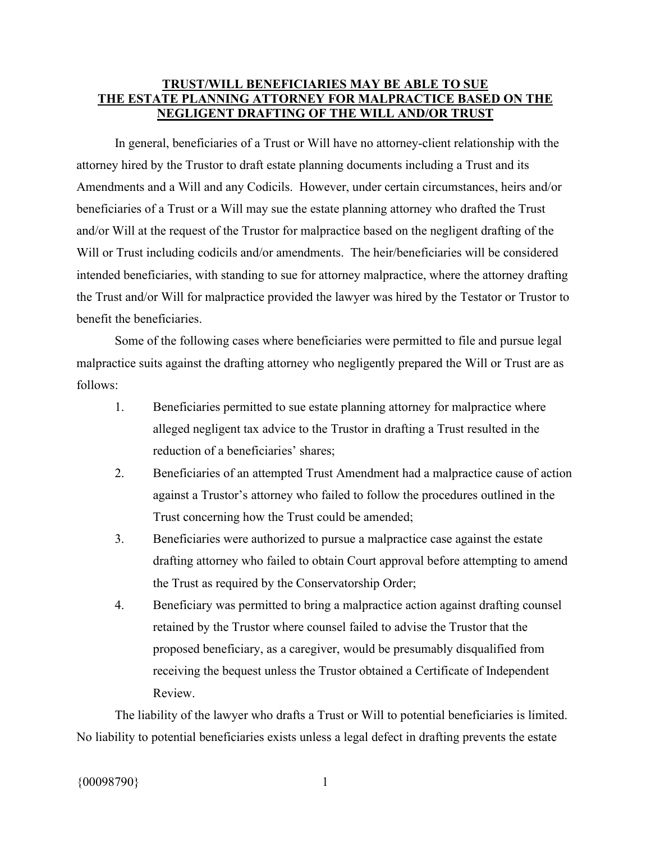## **TRUST/WILL BENEFICIARIES MAY BE ABLE TO SUE THE ESTATE PLANNING ATTORNEY FOR MALPRACTICE BASED ON THE NEGLIGENT DRAFTING OF THE WILL AND/OR TRUST**

In general, beneficiaries of a Trust or Will have no attorney-client relationship with the attorney hired by the Trustor to draft estate planning documents including a Trust and its Amendments and a Will and any Codicils. However, under certain circumstances, heirs and/or beneficiaries of a Trust or a Will may sue the estate planning attorney who drafted the Trust and/or Will at the request of the Trustor for malpractice based on the negligent drafting of the Will or Trust including codicils and/or amendments. The heir/beneficiaries will be considered intended beneficiaries, with standing to sue for attorney malpractice, where the attorney drafting the Trust and/or Will for malpractice provided the lawyer was hired by the Testator or Trustor to benefit the beneficiaries.

Some of the following cases where beneficiaries were permitted to file and pursue legal malpractice suits against the drafting attorney who negligently prepared the Will or Trust are as follows:

- 1. Beneficiaries permitted to sue estate planning attorney for malpractice where alleged negligent tax advice to the Trustor in drafting a Trust resulted in the reduction of a beneficiaries' shares;
- 2. Beneficiaries of an attempted Trust Amendment had a malpractice cause of action against a Trustor's attorney who failed to follow the procedures outlined in the Trust concerning how the Trust could be amended;
- 3. Beneficiaries were authorized to pursue a malpractice case against the estate drafting attorney who failed to obtain Court approval before attempting to amend the Trust as required by the Conservatorship Order;
- 4. Beneficiary was permitted to bring a malpractice action against drafting counsel retained by the Trustor where counsel failed to advise the Trustor that the proposed beneficiary, as a caregiver, would be presumably disqualified from receiving the bequest unless the Trustor obtained a Certificate of Independent Review.

The liability of the lawyer who drafts a Trust or Will to potential beneficiaries is limited. No liability to potential beneficiaries exists unless a legal defect in drafting prevents the estate